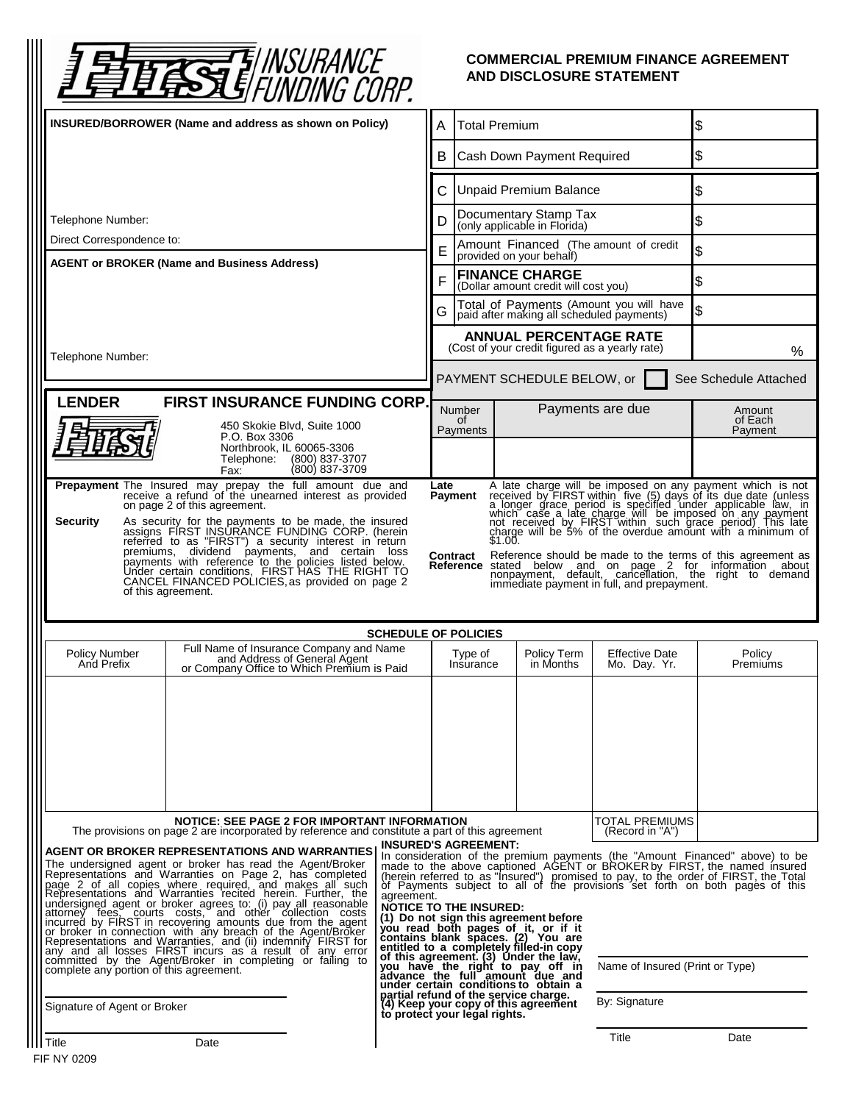

## **COMMERCIAL PREMIUM FINANCE AGREEMENT AND DISCLOSURE STATEMENT**

| . וווטט טווועווט וו <u>ע</u>                                                                                                                                                                                                                                                                                                                                                                                                                                                                                                                                                                                                                                                                                                                                                                                                                                                                                                                                                                                                                                                                                                                                                                                                                                                                                                                                                                                                                                                                                                                                                                                                                              |   |                                                                    |                                                                                 |                                         |                                                                                                                                                                           |
|-----------------------------------------------------------------------------------------------------------------------------------------------------------------------------------------------------------------------------------------------------------------------------------------------------------------------------------------------------------------------------------------------------------------------------------------------------------------------------------------------------------------------------------------------------------------------------------------------------------------------------------------------------------------------------------------------------------------------------------------------------------------------------------------------------------------------------------------------------------------------------------------------------------------------------------------------------------------------------------------------------------------------------------------------------------------------------------------------------------------------------------------------------------------------------------------------------------------------------------------------------------------------------------------------------------------------------------------------------------------------------------------------------------------------------------------------------------------------------------------------------------------------------------------------------------------------------------------------------------------------------------------------------------|---|--------------------------------------------------------------------|---------------------------------------------------------------------------------|-----------------------------------------|---------------------------------------------------------------------------------------------------------------------------------------------------------------------------|
| <b>INSURED/BORROWER (Name and address as shown on Policy)</b>                                                                                                                                                                                                                                                                                                                                                                                                                                                                                                                                                                                                                                                                                                                                                                                                                                                                                                                                                                                                                                                                                                                                                                                                                                                                                                                                                                                                                                                                                                                                                                                             | A | <b>Total Premium</b>                                               |                                                                                 |                                         | \$                                                                                                                                                                        |
|                                                                                                                                                                                                                                                                                                                                                                                                                                                                                                                                                                                                                                                                                                                                                                                                                                                                                                                                                                                                                                                                                                                                                                                                                                                                                                                                                                                                                                                                                                                                                                                                                                                           |   | B                                                                  | Cash Down Payment Required                                                      |                                         | \$                                                                                                                                                                        |
|                                                                                                                                                                                                                                                                                                                                                                                                                                                                                                                                                                                                                                                                                                                                                                                                                                                                                                                                                                                                                                                                                                                                                                                                                                                                                                                                                                                                                                                                                                                                                                                                                                                           |   | С                                                                  | <b>Unpaid Premium Balance</b>                                                   |                                         | \$                                                                                                                                                                        |
| Telephone Number:                                                                                                                                                                                                                                                                                                                                                                                                                                                                                                                                                                                                                                                                                                                                                                                                                                                                                                                                                                                                                                                                                                                                                                                                                                                                                                                                                                                                                                                                                                                                                                                                                                         |   | D                                                                  | Documentary Stamp Tax<br>(only applicable in Florida)                           |                                         | \$                                                                                                                                                                        |
| Direct Correspondence to:                                                                                                                                                                                                                                                                                                                                                                                                                                                                                                                                                                                                                                                                                                                                                                                                                                                                                                                                                                                                                                                                                                                                                                                                                                                                                                                                                                                                                                                                                                                                                                                                                                 |   | E                                                                  | Amount Financed (The amount of credit<br>provided on your behalf)               |                                         | \$                                                                                                                                                                        |
| <b>AGENT or BROKER (Name and Business Address)</b>                                                                                                                                                                                                                                                                                                                                                                                                                                                                                                                                                                                                                                                                                                                                                                                                                                                                                                                                                                                                                                                                                                                                                                                                                                                                                                                                                                                                                                                                                                                                                                                                        |   | <b>FINANCE CHARGE</b><br>F<br>(Dollar amount credit will cost you) |                                                                                 |                                         | \$                                                                                                                                                                        |
|                                                                                                                                                                                                                                                                                                                                                                                                                                                                                                                                                                                                                                                                                                                                                                                                                                                                                                                                                                                                                                                                                                                                                                                                                                                                                                                                                                                                                                                                                                                                                                                                                                                           | G |                                                                    | paid after making all scheduled payments)                                       | Total of Payments (Amount you will have | \$                                                                                                                                                                        |
|                                                                                                                                                                                                                                                                                                                                                                                                                                                                                                                                                                                                                                                                                                                                                                                                                                                                                                                                                                                                                                                                                                                                                                                                                                                                                                                                                                                                                                                                                                                                                                                                                                                           |   |                                                                    | <b>ANNUAL PERCENTAGE RATE</b><br>(Cost of your credit figured as a yearly rate) |                                         | %                                                                                                                                                                         |
| Telephone Number:                                                                                                                                                                                                                                                                                                                                                                                                                                                                                                                                                                                                                                                                                                                                                                                                                                                                                                                                                                                                                                                                                                                                                                                                                                                                                                                                                                                                                                                                                                                                                                                                                                         |   |                                                                    | PAYMENT SCHEDULE BELOW, or                                                      |                                         | See Schedule Attached                                                                                                                                                     |
| <b>LENDER</b><br><b>FIRST INSURANCE FUNDING CORP.</b>                                                                                                                                                                                                                                                                                                                                                                                                                                                                                                                                                                                                                                                                                                                                                                                                                                                                                                                                                                                                                                                                                                                                                                                                                                                                                                                                                                                                                                                                                                                                                                                                     |   | <b>Number</b>                                                      |                                                                                 | Payments are due                        | Amount                                                                                                                                                                    |
| 450 Skokie Blvd, Suite 1000<br>P.O. Box 3306                                                                                                                                                                                                                                                                                                                                                                                                                                                                                                                                                                                                                                                                                                                                                                                                                                                                                                                                                                                                                                                                                                                                                                                                                                                                                                                                                                                                                                                                                                                                                                                                              |   | 0f<br>Payments                                                     |                                                                                 |                                         | of Each<br>Payment                                                                                                                                                        |
| Northbrook, IL 60065-3306<br>Telephone:<br>(800) 837-3707<br>(800) 837-3709<br>Fax:                                                                                                                                                                                                                                                                                                                                                                                                                                                                                                                                                                                                                                                                                                                                                                                                                                                                                                                                                                                                                                                                                                                                                                                                                                                                                                                                                                                                                                                                                                                                                                       |   |                                                                    |                                                                                 |                                         |                                                                                                                                                                           |
| Prepayment The Insured may prepay the full amount due and<br>receive a refund of the unearned interest as provided<br>on page 2 of this agreement.                                                                                                                                                                                                                                                                                                                                                                                                                                                                                                                                                                                                                                                                                                                                                                                                                                                                                                                                                                                                                                                                                                                                                                                                                                                                                                                                                                                                                                                                                                        |   | Late<br><b>Payment</b>                                             |                                                                                 |                                         |                                                                                                                                                                           |
| A late charge will be imposed on any payment which is not<br>received by FIRST within five (5) days of its due date (unless<br>a longer grace period is specified under applicable law, in<br>which case a late charge will be imposed<br>As security for the payments to be made, the insured assigns FIRST INSURANCE FUNDING CORP. (herein<br><b>Security</b>                                                                                                                                                                                                                                                                                                                                                                                                                                                                                                                                                                                                                                                                                                                                                                                                                                                                                                                                                                                                                                                                                                                                                                                                                                                                                           |   |                                                                    |                                                                                 |                                         |                                                                                                                                                                           |
| referred to as "FIRST") a security interest in return                                                                                                                                                                                                                                                                                                                                                                                                                                                                                                                                                                                                                                                                                                                                                                                                                                                                                                                                                                                                                                                                                                                                                                                                                                                                                                                                                                                                                                                                                                                                                                                                     |   | Contract                                                           |                                                                                 |                                         | Reference should be made to the terms of this agreement as                                                                                                                |
| premiums, dividend payments, and certain loss<br>payments with reference to the policies listed below.<br>Under certain conditions, FIRST HAS THE RIGHT TO<br>CANCEL FINANCED POLICIES, as provided on page 2<br>of this agreement.                                                                                                                                                                                                                                                                                                                                                                                                                                                                                                                                                                                                                                                                                                                                                                                                                                                                                                                                                                                                                                                                                                                                                                                                                                                                                                                                                                                                                       |   |                                                                    |                                                                                 |                                         | <b>Reference</b> stated below and on page 2 for information about<br>nonpayment, default, cancellation, the right to demand<br>immediate payment in full, and prepayment. |
|                                                                                                                                                                                                                                                                                                                                                                                                                                                                                                                                                                                                                                                                                                                                                                                                                                                                                                                                                                                                                                                                                                                                                                                                                                                                                                                                                                                                                                                                                                                                                                                                                                                           |   |                                                                    |                                                                                 |                                         |                                                                                                                                                                           |
| <b>SCHEDULE OF POLICIES</b>                                                                                                                                                                                                                                                                                                                                                                                                                                                                                                                                                                                                                                                                                                                                                                                                                                                                                                                                                                                                                                                                                                                                                                                                                                                                                                                                                                                                                                                                                                                                                                                                                               |   |                                                                    |                                                                                 |                                         |                                                                                                                                                                           |
| Full Name of Insurance Company and Name<br>and Address of General Agent<br>or Company Office to Which Premium is Paid<br>Policy Number<br>And Prefix                                                                                                                                                                                                                                                                                                                                                                                                                                                                                                                                                                                                                                                                                                                                                                                                                                                                                                                                                                                                                                                                                                                                                                                                                                                                                                                                                                                                                                                                                                      |   | Type of<br>Insurance                                               | Policy Term<br>in Months                                                        | <b>Effective Date</b><br>Mo. Day. Yr.   | Policy<br>Premiums                                                                                                                                                        |
|                                                                                                                                                                                                                                                                                                                                                                                                                                                                                                                                                                                                                                                                                                                                                                                                                                                                                                                                                                                                                                                                                                                                                                                                                                                                                                                                                                                                                                                                                                                                                                                                                                                           |   |                                                                    |                                                                                 |                                         |                                                                                                                                                                           |
| <b>NOTICE: SEE PAGE 2 FOR IMPORTANT INFORMATION</b><br>The provisions on page 2 are incorporated by reference and constitute a part of this agreement                                                                                                                                                                                                                                                                                                                                                                                                                                                                                                                                                                                                                                                                                                                                                                                                                                                                                                                                                                                                                                                                                                                                                                                                                                                                                                                                                                                                                                                                                                     |   |                                                                    |                                                                                 | TOTAL PREMIUMS<br>(Record in "A")       |                                                                                                                                                                           |
| <b>INSURED'S AGREEMENT:</b><br>AGENT OR BROKER REPRESENTATIONS AND WARRANTIES<br>In consideration of the premium payments (the "Amount Financed" above) to be made to the above captioned. AGENT or BROKER by FIRST, the named insured<br>The undersigned agent or broker has read the Agent/Broker<br>Representations and Warranties on Page 2, has completed<br>(herein referred to as "Insured") promised to pay, to the order of FIRST, the Total<br>of Payments subject to all of the provisions set forth on both pages of this<br>page 2 of all copies where required, and makes all such<br>Representations and Warranties recited herein. Further, the<br>agreement.<br>undersigned agent or broker agrees to: (i) pay all reasonable<br>attorney fees, courts costs, and other collection costs<br><b>NOTICE TO THE INSURED:</b><br>(1) Do not sign this agreement before<br>incurred by FIRST in recovering amounts due from the agent<br>or broker in connection, with any breach of the Agent/Broker<br>you read both pages of it, or if it<br>contains blank spaces. (2) You are<br>entitled to a completely filled-in copy<br>Representations and Warranties, and (ii) indemnify FIRST for<br>any and all losses FIRST incurs as a result of any error<br>of this agreement. (3) Under the law,<br>you have the right to pay off in<br>advance the full amount due and<br>committed by the Agent/Broker in completing or failing to<br>Name of Insured (Print or Type)<br>complete any portion of this agreement.<br>under certain conditions to obtain a<br>partial refund of the service charge.<br>(4) Keep your copy of this agreement |   |                                                                    |                                                                                 |                                         |                                                                                                                                                                           |
| Signature of Agent or Broker                                                                                                                                                                                                                                                                                                                                                                                                                                                                                                                                                                                                                                                                                                                                                                                                                                                                                                                                                                                                                                                                                                                                                                                                                                                                                                                                                                                                                                                                                                                                                                                                                              |   | to protect your legal rights.                                      |                                                                                 | By: Signature                           |                                                                                                                                                                           |
| Title<br>Date                                                                                                                                                                                                                                                                                                                                                                                                                                                                                                                                                                                                                                                                                                                                                                                                                                                                                                                                                                                                                                                                                                                                                                                                                                                                                                                                                                                                                                                                                                                                                                                                                                             |   |                                                                    |                                                                                 | Title                                   | Date                                                                                                                                                                      |